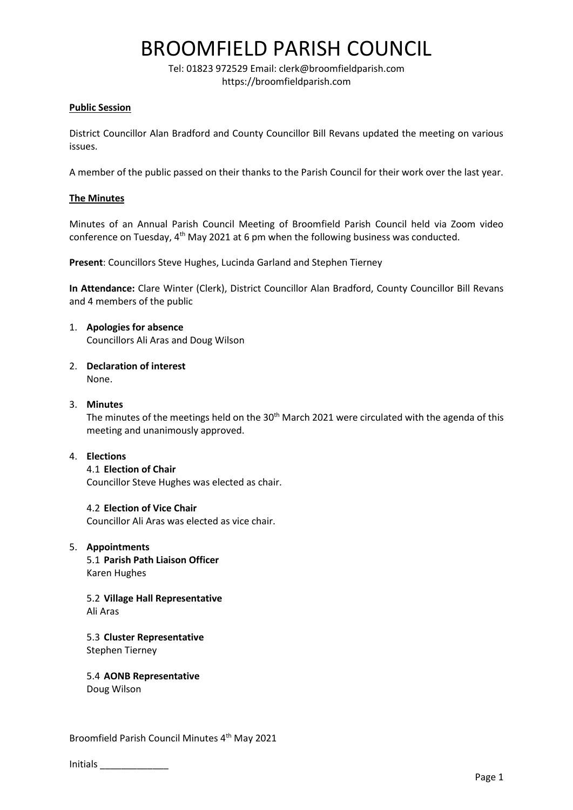## BROOMFIELD PARISH COUNCIL

Tel: 01823 972529 Email: clerk@broomfieldparish.com https://broomfieldparish.com

## **Public Session**

District Councillor Alan Bradford and County Councillor Bill Revans updated the meeting on various issues.

A member of the public passed on their thanks to the Parish Council for their work over the last year.

## **The Minutes**

Minutes of an Annual Parish Council Meeting of Broomfield Parish Council held via Zoom video conference on Tuesday, 4<sup>th</sup> May 2021 at 6 pm when the following business was conducted.

**Present**: Councillors Steve Hughes, Lucinda Garland and Stephen Tierney

**In Attendance:** Clare Winter (Clerk), District Councillor Alan Bradford, County Councillor Bill Revans and 4 members of the public

#### 1. **Apologies for absence** Councillors Ali Aras and Doug Wilson

- 2. **Declaration of interest** None.
- 3. **Minutes**

The minutes of the meetings held on the 30<sup>th</sup> March 2021 were circulated with the agenda of this meeting and unanimously approved.

#### 4. **Elections**

4.1 **Election of Chair** Councillor Steve Hughes was elected as chair.

4.2 **Election of Vice Chair** Councillor Ali Aras was elected as vice chair.

#### 5. **Appointments**

5.1 **Parish Path Liaison Officer** Karen Hughes

5.2 **Village Hall Representative** Ali Aras

5.3 **Cluster Representative**  Stephen Tierney

5.4 **AONB Representative**

Doug Wilson

Broomfield Parish Council Minutes 4<sup>th</sup> May 2021

| <b>Initials</b> |
|-----------------|
|-----------------|